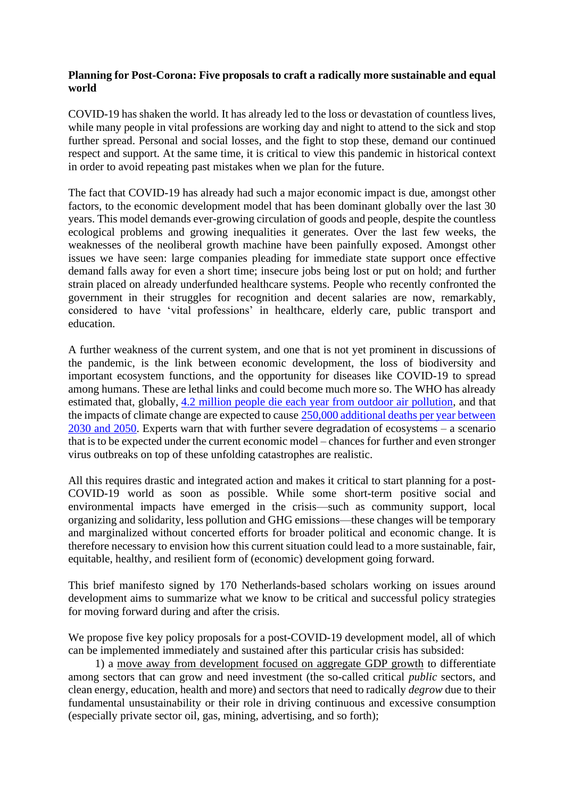## **Planning for Post-Corona: Five proposals to craft a radically more sustainable and equal world**

COVID-19 has shaken the world. It has already led to the loss or devastation of countless lives, while many people in vital professions are working day and night to attend to the sick and stop further spread. Personal and social losses, and the fight to stop these, demand our continued respect and support. At the same time, it is critical to view this pandemic in historical context in order to avoid repeating past mistakes when we plan for the future.

The fact that COVID-19 has already had such a major economic impact is due, amongst other factors, to the economic development model that has been dominant globally over the last 30 years. This model demands ever-growing circulation of goods and people, despite the countless ecological problems and growing inequalities it generates. Over the last few weeks, the weaknesses of the neoliberal growth machine have been painfully exposed. Amongst other issues we have seen: large companies pleading for immediate state support once effective demand falls away for even a short time; insecure jobs being lost or put on hold; and further strain placed on already underfunded healthcare systems. People who recently confronted the government in their struggles for recognition and decent salaries are now, remarkably, considered to have 'vital professions' in healthcare, elderly care, public transport and education.

A further weakness of the current system, and one that is not yet prominent in discussions of the pandemic, is the link between economic development, the loss of biodiversity and important ecosystem functions, and the opportunity for diseases like COVID-19 to spread among humans. These are lethal links and could become much more so. The WHO has already estimated that, globally, [4.2 million people die each year from outdoor air pollution,](https://www.who.int/health-topics/air-pollution#tab=tab_1) and that the impacts of climate change are expected to cause [250,000 additional deaths per year between](https://www.who.int/globalchange/publications/quantitative-risk-assessment/en/)  [2030 and 2050.](https://www.who.int/globalchange/publications/quantitative-risk-assessment/en/) Experts warn that with further severe degradation of ecosystems – a scenario that is to be expected under the current economic model – chances for further and even stronger virus outbreaks on top of these unfolding catastrophes are realistic.

All this requires drastic and integrated action and makes it critical to start planning for a post-COVID-19 world as soon as possible. While some short-term positive social and environmental impacts have emerged in the crisis—such as community support, local organizing and solidarity, less pollution and GHG emissions—these changes will be temporary and marginalized without concerted efforts for broader political and economic change. It is therefore necessary to envision how this current situation could lead to a more sustainable, fair, equitable, healthy, and resilient form of (economic) development going forward.

This brief manifesto signed by 170 Netherlands-based scholars working on issues around development aims to summarize what we know to be critical and successful policy strategies for moving forward during and after the crisis.

We propose five key policy proposals for a post-COVID-19 development model, all of which can be implemented immediately and sustained after this particular crisis has subsided:

1) a move away from development focused on aggregate GDP growth to differentiate among sectors that can grow and need investment (the so-called critical *public* sectors, and clean energy, education, health and more) and sectors that need to radically *degrow* due to their fundamental unsustainability or their role in driving continuous and excessive consumption (especially private sector oil, gas, mining, advertising, and so forth);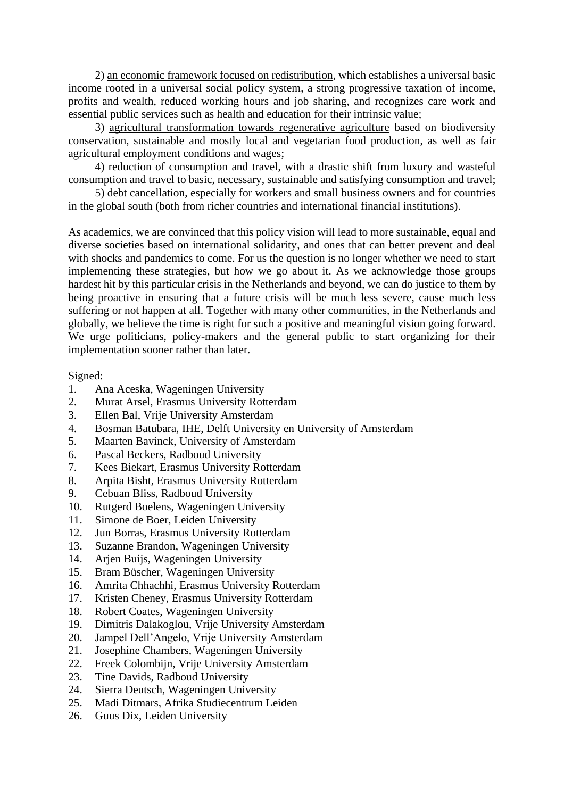2) an economic framework focused on redistribution, which establishes a universal basic income rooted in a universal social policy system, a strong progressive taxation of income, profits and wealth, reduced working hours and job sharing, and recognizes care work and essential public services such as health and education for their intrinsic value;

3) agricultural transformation towards regenerative agriculture based on biodiversity conservation, sustainable and mostly local and vegetarian food production, as well as fair agricultural employment conditions and wages;

4) reduction of consumption and travel, with a drastic shift from luxury and wasteful consumption and travel to basic, necessary, sustainable and satisfying consumption and travel;

5) debt cancellation, especially for workers and small business owners and for countries in the global south (both from richer countries and international financial institutions).

As academics, we are convinced that this policy vision will lead to more sustainable, equal and diverse societies based on international solidarity, and ones that can better prevent and deal with shocks and pandemics to come. For us the question is no longer whether we need to start implementing these strategies, but how we go about it. As we acknowledge those groups hardest hit by this particular crisis in the Netherlands and beyond, we can do justice to them by being proactive in ensuring that a future crisis will be much less severe, cause much less suffering or not happen at all. Together with many other communities, in the Netherlands and globally, we believe the time is right for such a positive and meaningful vision going forward. We urge politicians, policy-makers and the general public to start organizing for their implementation sooner rather than later.

Signed:

- 1. Ana Aceska, Wageningen University
- 2. Murat Arsel, Erasmus University Rotterdam
- 3. Ellen Bal, Vrije University Amsterdam
- 4. Bosman Batubara, IHE, Delft University en University of Amsterdam
- 5. Maarten Bavinck, University of Amsterdam
- 6. Pascal Beckers, Radboud University
- 7. Kees Biekart, Erasmus University Rotterdam
- 8. Arpita Bisht, Erasmus University Rotterdam
- 9. Cebuan Bliss, Radboud University
- 10. Rutgerd Boelens, Wageningen University
- 11. Simone de Boer, Leiden University
- 12. Jun Borras, Erasmus University Rotterdam
- 13. Suzanne Brandon, Wageningen University
- 14. Arjen Buijs, Wageningen University
- 15. Bram Büscher, Wageningen University
- 16. Amrita Chhachhi, Erasmus University Rotterdam
- 17. Kristen Cheney, Erasmus University Rotterdam
- 18. Robert Coates, Wageningen University
- 19. Dimitris Dalakoglou, Vrije University Amsterdam
- 20. Jampel Dell'Angelo, Vrije University Amsterdam
- 21. Josephine Chambers, Wageningen University
- 22. Freek Colombijn, Vrije University Amsterdam
- 23. Tine Davids, Radboud University
- 24. Sierra Deutsch, Wageningen University
- 25. Madi Ditmars, Afrika Studiecentrum Leiden
- 26. Guus Dix, Leiden University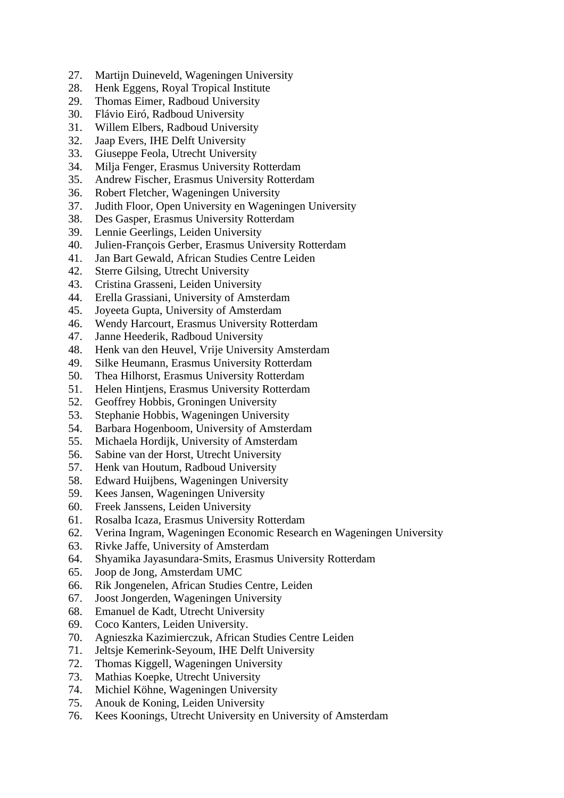- 27. Martijn Duineveld, Wageningen University
- 28. Henk Eggens, Royal Tropical Institute
- 29. Thomas Eimer, Radboud University
- 30. Flávio Eiró, Radboud University
- 31. Willem Elbers, Radboud University
- 32. Jaap Evers, IHE Delft University<br>33. Giuseppe Feola, Utrecht Universi
- 33. Giuseppe Feola, Utrecht University
- 34. Milja Fenger, Erasmus University Rotterdam
- 35. Andrew Fischer, Erasmus University Rotterdam
- 36. Robert Fletcher, Wageningen University
- 37. Judith Floor, Open University en Wageningen University
- 38. Des Gasper, Erasmus University Rotterdam
- 39. Lennie Geerlings, Leiden University
- 40. Julien-François Gerber, Erasmus University Rotterdam
- 41. Jan Bart Gewald, African Studies Centre Leiden
- 42. Sterre Gilsing, Utrecht University
- 43. Cristina Grasseni, Leiden University
- 44. Erella Grassiani, University of Amsterdam
- 45. Joyeeta Gupta, University of Amsterdam
- 46. Wendy Harcourt, Erasmus University Rotterdam
- 47. Janne Heederik, Radboud University
- 48. Henk van den Heuvel, Vrije University Amsterdam
- 49. Silke Heumann, Erasmus University Rotterdam
- 50. Thea Hilhorst, Erasmus University Rotterdam
- 51. Helen Hintjens, Erasmus University Rotterdam
- 52. Geoffrey Hobbis, Groningen University
- 53. Stephanie Hobbis, Wageningen University
- 54. Barbara Hogenboom, University of Amsterdam
- 55. Michaela Hordijk, University of Amsterdam
- 56. Sabine van der Horst, Utrecht University<br>57. Henk van Houtum, Radboud University
- 57. Henk van Houtum, Radboud University
- 58. Edward Huijbens, Wageningen University
- 59. Kees Jansen, Wageningen University
- 60. Freek Janssens, Leiden University
- 61. Rosalba Icaza, Erasmus University Rotterdam
- 62. Verina Ingram, Wageningen Economic Research en Wageningen University
- 63. Rivke Jaffe, University of Amsterdam
- 64. Shyamika Jayasundara-Smits, Erasmus University Rotterdam
- 65. Joop de Jong, Amsterdam UMC
- 66. Rik Jongenelen, African Studies Centre, Leiden
- 67. Joost Jongerden, Wageningen University
- 68. Emanuel de Kadt, Utrecht University
- 69. Coco Kanters, Leiden University.
- 70. Agnieszka Kazimierczuk, African Studies Centre Leiden
- 71. Jeltsje Kemerink-Seyoum, IHE Delft University
- 72. Thomas Kiggell, Wageningen University
- 73. Mathias Koepke, Utrecht University
- 74. Michiel Köhne, Wageningen University
- 75. Anouk de Koning, Leiden University
- 76. Kees Koonings, Utrecht University en University of Amsterdam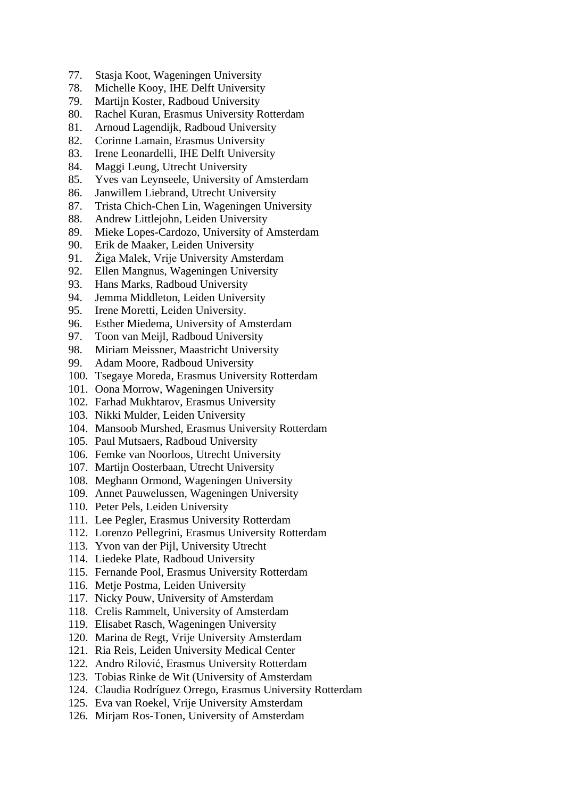- 77. Stasja Koot, Wageningen University
- 78. Michelle Kooy, IHE Delft University
- 79. Martijn Koster, Radboud University
- 80. Rachel Kuran, Erasmus University Rotterdam
- 81. Arnoud Lagendijk, Radboud University
- 82. Corinne Lamain, Erasmus University<br>83. Irene Leonardelli, IHE Delft Universi
- Irene Leonardelli, IHE Delft University
- 84. Maggi Leung, Utrecht University
- 85. Yves van Leynseele, University of Amsterdam
- 86. Janwillem Liebrand, Utrecht University
- 87. Trista Chich-Chen Lin, Wageningen University
- 88. Andrew Littlejohn, Leiden University
- 89. Mieke Lopes-Cardozo, University of Amsterdam
- 90. Erik de Maaker, Leiden University
- 91. Žiga Malek, Vrije University Amsterdam
- 92. Ellen Mangnus, Wageningen University
- 93. Hans Marks, Radboud University
- 94. Jemma Middleton, Leiden University
- 95. Irene Moretti, Leiden University.
- 96. Esther Miedema, University of Amsterdam
- 97. Toon van Meijl, Radboud University
- 98. Miriam Meissner, Maastricht University
- 99. Adam Moore, Radboud University
- 100. Tsegaye Moreda, Erasmus University Rotterdam
- 101. Oona Morrow, Wageningen University
- 102. Farhad Mukhtarov, Erasmus University
- 103. Nikki Mulder, Leiden University
- 104. Mansoob Murshed, Erasmus University Rotterdam
- 105. Paul Mutsaers, Radboud University
- 106. Femke van Noorloos, Utrecht University
- 107. Martijn Oosterbaan, Utrecht University
- 108. Meghann Ormond, Wageningen University
- 109. Annet Pauwelussen, Wageningen University
- 110. Peter Pels, Leiden University
- 111. Lee Pegler, Erasmus University Rotterdam
- 112. Lorenzo Pellegrini, Erasmus University Rotterdam
- 113. Yvon van der Pijl, University Utrecht
- 114. Liedeke Plate, Radboud University
- 115. Fernande Pool, Erasmus University Rotterdam
- 116. Metje Postma, Leiden University
- 117. Nicky Pouw, University of Amsterdam
- 118. Crelis Rammelt, University of Amsterdam
- 119. Elisabet Rasch, Wageningen University
- 120. Marina de Regt, Vrije University Amsterdam
- 121. Ria Reis, Leiden University Medical Center
- 122. Andro Rilović, Erasmus University Rotterdam
- 123. Tobias Rinke de Wit (University of Amsterdam
- 124. Claudia Rodríguez Orrego, Erasmus University Rotterdam
- 125. Eva van Roekel, Vrije University Amsterdam
- 126. Mirjam Ros-Tonen, University of Amsterdam